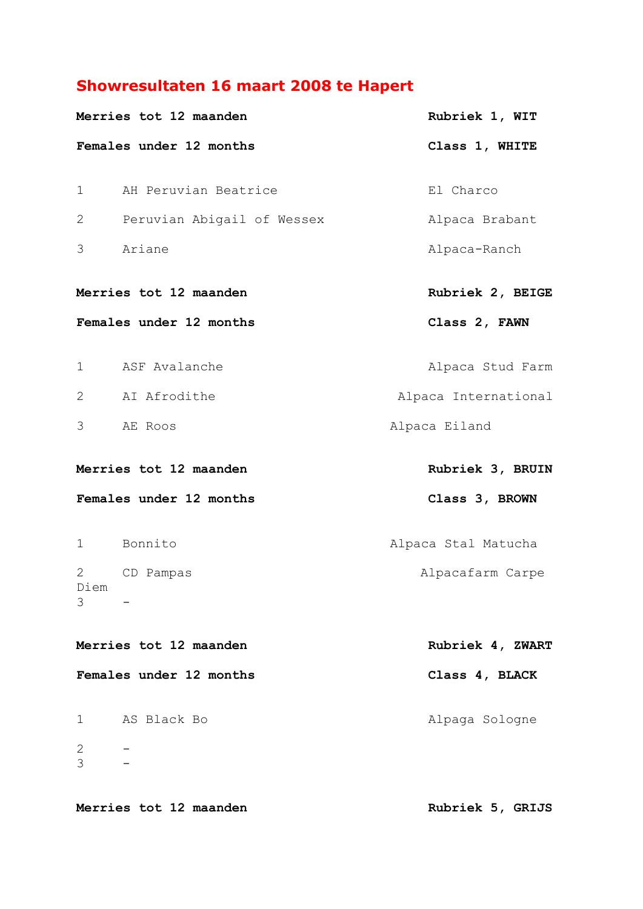## **Showresultaten 16 maart 2008 te Hapert**

|              | Merries tot 12 maanden     | Rubriek 1, WIT       |
|--------------|----------------------------|----------------------|
|              | Females under 12 months    | Class 1, WHITE       |
| $\mathbf{1}$ | AH Peruvian Beatrice       | El Charco            |
| 2            | Peruvian Abigail of Wessex | Alpaca Brabant       |
| 3            | Ariane                     | Alpaca-Ranch         |
|              | Merries tot 12 maanden     | Rubriek 2, BEIGE     |
|              | Females under 12 months    | Class 2, FAWN        |
| $\mathbf 1$  | ASF Avalanche              | Alpaca Stud Farm     |
| 2            | AI Afrodithe               | Alpaca International |
| 3            | AE Roos                    | Alpaca Eiland        |
|              | Merries tot 12 maanden     | Rubriek 3, BRUIN     |
|              | Females under 12 months    | Class 3, BROWN       |
|              | 1 Bonnito                  | Alpaca Stal Matucha  |
| 2            | CD Pampas                  | Alpacafarm Carpe     |
| Diem<br>3    |                            |                      |
|              | Merries tot 12 maanden     | Rubriek 4, ZWART     |
|              | Females under 12 months    | Class 4, BLACK       |
| 1            | AS Black Bo                | Alpaga Sologne       |
| 2<br>3       |                            |                      |
|              | Merries tot 12 maanden     | Rubriek 5, GRIJS     |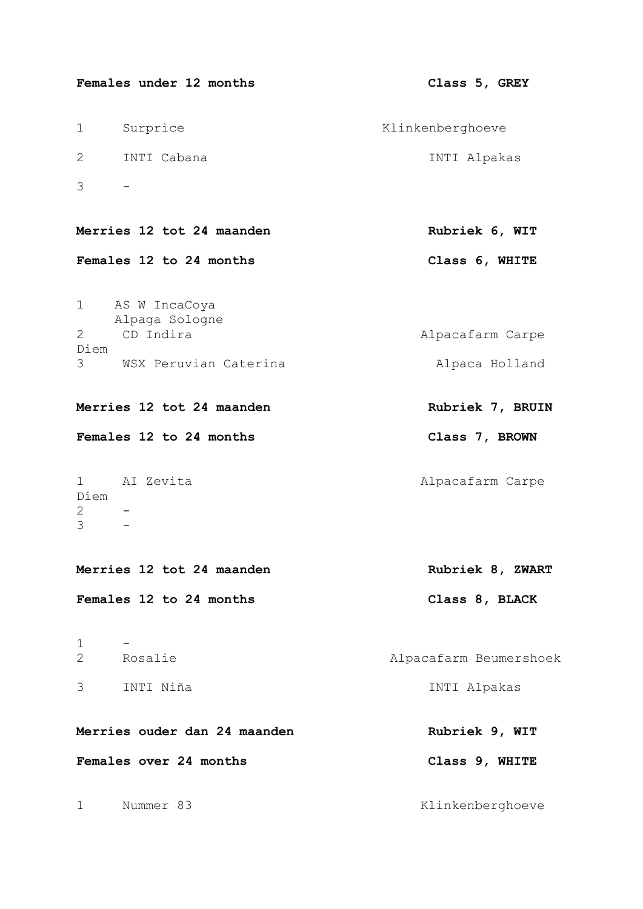| Females under 12 months                             | Class 5, GREY          |
|-----------------------------------------------------|------------------------|
| Surprice<br>$\mathbf 1$                             | Klinkenberghoeve       |
| 2<br>INTI Cabana                                    | INTI Alpakas           |
| 3                                                   |                        |
| Merries 12 tot 24 maanden                           | Rubriek 6, WIT         |
| Females 12 to 24 months                             | Class 6, WHITE         |
| AS W IncaCoya<br>1<br>Alpaga Sologne                |                        |
| CD Indira<br>2<br>Diem                              | Alpacafarm Carpe       |
| WSX Peruvian Caterina<br>3                          | Alpaca Holland         |
| Merries 12 tot 24 maanden                           | Rubriek 7, BRUIN       |
| Females 12 to 24 months                             | Class 7, BROWN         |
| AI Zevita<br>1<br>Diem<br>$\mathbf{2}$<br>3         | Alpacafarm Carpe       |
| Merries 12 tot 24 maanden                           | Rubriek 8, ZWART       |
| Females 12 to 24 months                             | Class 8, BLACK         |
| $\mathbf 1$<br>Rosalie<br>$\mathbf{2}^{\mathsf{I}}$ | Alpacafarm Beumershoek |
| INTI Niña<br>3                                      | INTI Alpakas           |
| Merries ouder dan 24 maanden                        | Rubriek 9, WIT         |
| Females over 24 months                              | Class 9, WHITE         |
| Nummer 83<br>$\mathbf 1$                            | Klinkenberghoeve       |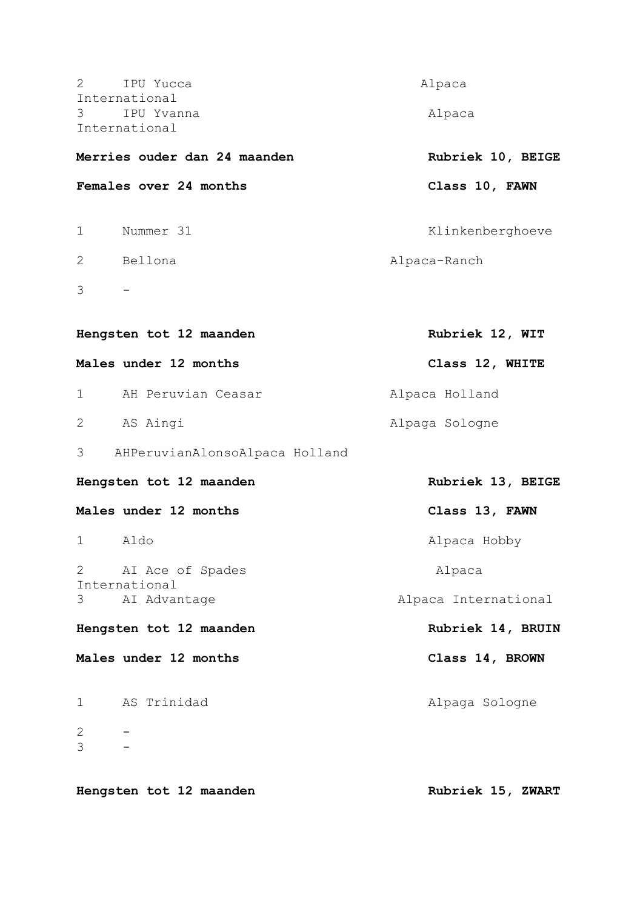| 2<br>IPU Yucca<br>International     | Alpaca               |
|-------------------------------------|----------------------|
| 3<br>IPU Yvanna                     | Alpaca               |
| International                       |                      |
| Merries ouder dan 24 maanden        | Rubriek 10, BEIGE    |
| Females over 24 months              | Class 10, FAWN       |
| Nummer 31<br>$\mathbf 1$            | Klinkenberghoeve     |
| Bellona<br>2                        | Alpaca-Ranch         |
| 3                                   |                      |
|                                     |                      |
| Hengsten tot 12 maanden             | Rubriek 12, WIT      |
| Males under 12 months               | Class 12, WHITE      |
| AH Peruvian Ceasar<br>$\mathbf{1}$  | Alpaca Holland       |
| AS Aingi<br>2                       | Alpaga Sologne       |
| AHPeruvianAlonsoAlpaca Holland<br>3 |                      |
| Hengsten tot 12 maanden             | Rubriek 13, BEIGE    |
| Males under 12 months               | Class 13, FAWN       |
| 1<br>Aldo                           | Alpaca Hobby         |
| $\mathbf{2}$<br>AI Ace of Spades    | Alpaca               |
| International<br>3<br>AI Advantage  | Alpaca International |
| Hengsten tot 12 maanden             | Rubriek 14, BRUIN    |
| Males under 12 months               | Class 14, BROWN      |
| AS Trinidad<br>$\mathbf 1$          | Alpaga Sologne       |
| 2<br>3                              |                      |
|                                     |                      |
| Hengsten tot 12 maanden             | Rubriek 15, ZWART    |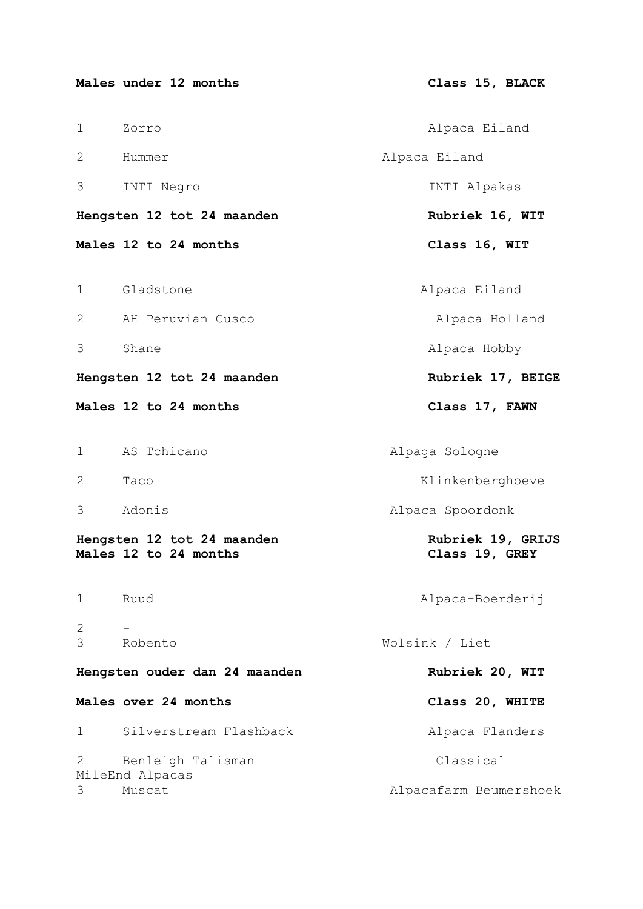|             | Males under 12 months                               | Class 15, BLACK                     |
|-------------|-----------------------------------------------------|-------------------------------------|
| 1           | Zorro                                               | Alpaca Eiland                       |
| 2           | Hummer                                              | Alpaca Eiland                       |
| 3           | INTI Negro                                          | INTI Alpakas                        |
|             | Hengsten 12 tot 24 maanden                          | Rubriek 16, WIT                     |
|             | Males 12 to 24 months                               | Class 16, WIT                       |
| 1           | Gladstone                                           | Alpaca Eiland                       |
| 2           | AH Peruvian Cusco                                   | Alpaca Holland                      |
| 3           | Shane                                               | Alpaca Hobby                        |
|             | Hengsten 12 tot 24 maanden                          | Rubriek 17, BEIGE                   |
|             | Males 12 to 24 months                               | Class 17, FAWN                      |
| 1           | AS Tchicano                                         | Alpaga Sologne                      |
| 2           | Taco                                                | Klinkenberghoeve                    |
| 3           | Adonis                                              | Alpaca Spoordonk                    |
|             | Hengsten 12 tot 24 maanden<br>Males 12 to 24 months | Rubriek 19, GRIJS<br>Class 19, GREY |
| $\mathbf 1$ | Ruud                                                | Alpaca-Boerderij                    |
| 2<br>3      | Robento                                             | Wolsink / Liet                      |
|             | Hengsten ouder dan 24 maanden                       | Rubriek 20, WIT                     |
|             | Males over 24 months                                | Class 20, WHITE                     |
| 1           | Silverstream Flashback                              | Alpaca Flanders                     |
| 2           | Benleigh Talisman<br>MileEnd Alpacas                | Classical                           |
| 3           | Muscat                                              | Alpacafarm Beumershoek              |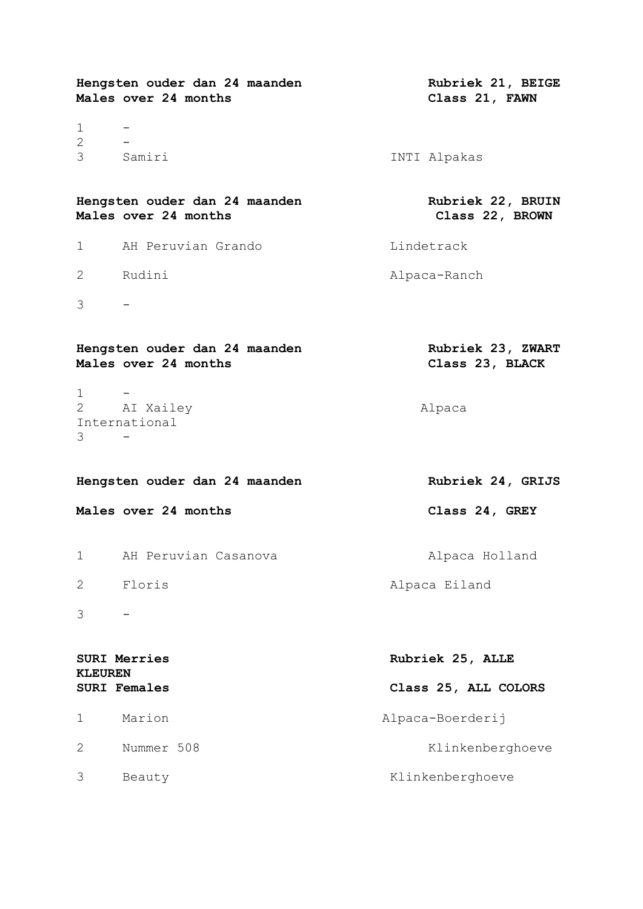|                                       | Hengsten ouder dan 24 maanden<br>Males over 24 months | Rubriek 21, BEIGE<br>Class 21, FAWN  |
|---------------------------------------|-------------------------------------------------------|--------------------------------------|
| $\mathbf 1$<br>2                      |                                                       |                                      |
| 3                                     | Samiri                                                | INTI Alpakas                         |
|                                       | Hengsten ouder dan 24 maanden<br>Males over 24 months | Rubriek 22, BRUIN<br>Class 22, BROWN |
| 1                                     | AH Peruvian Grando                                    | Lindetrack                           |
| 2                                     | Rudini                                                | Alpaca-Ranch                         |
| 3                                     |                                                       |                                      |
|                                       | Hengsten ouder dan 24 maanden<br>Males over 24 months | Rubriek 23, ZWART<br>Class 23, BLACK |
| $1 \quad$<br>3                        | 2 AI Xailey<br>International                          | Alpaca                               |
| Hengsten ouder dan 24 maanden         |                                                       | Rubriek 24, GRIJS                    |
|                                       | Males over 24 months                                  | Class 24, GREY                       |
| 1                                     | AH Peruvian Casanova                                  | Alpaca Holland                       |
| 2                                     | Floris                                                | Alpaca Eiland                        |
| 3                                     |                                                       |                                      |
| <b>SURI Merries</b><br><b>KLEUREN</b> |                                                       | Rubriek 25, ALLE                     |
|                                       | <b>SURI Females</b>                                   | Class 25, ALL COLORS                 |
| 1                                     | Marion                                                | Alpaca-Boerderij                     |
|                                       |                                                       |                                      |
| 2                                     | Nummer 508                                            | Klinkenberghoeve                     |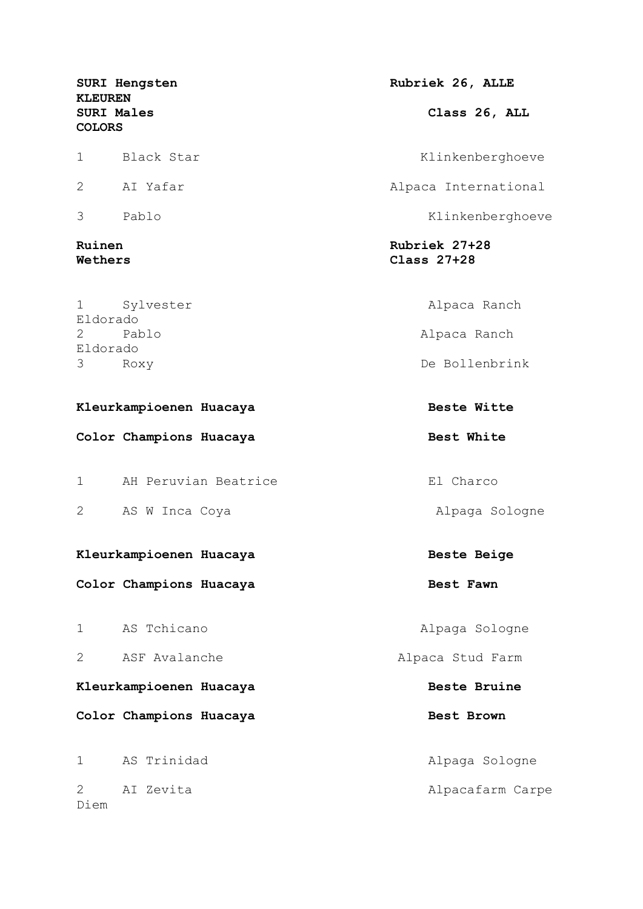**KLEUREN COLORS**

1 Sylvester Alpaca Ranch Eldorado 2 Pablo **Pablo** 2 Pablo 2 Pablo 2 Pablo 2 Pablo 2 Pablo 2 Pablo 2 Pablo 2 Pablo 2 Pablo 2 Pablo 2 Pablo 2 Pablo 2 Pablo 2 Pablo 2 Pablo 2 Pablo 2 Pablo 2 Pablo 2 Pablo 2 Pablo 2 Pablo 2 Pablo 2 Pablo 2 Pablo 2 Pablo 2 Pabl Eldorado

Kleurkampioenen Huacaya **Beste Witte** 

Color Champions Huacaya **Best White** 

1 AH Peruvian Beatrice El Charco 2 AS W Inca Coya **Alpaga Sologne** 

## Kleurkampioenen Huacaya **Beste Beige** Beste Beige

Color Champions Huacaya **Best Fawn** 

## Kleurkampioenen Huacaya **Beste Bruine**

Color Champions Huacaya **Best Brown** 

2 AI Zevita Alpacafarm Carpe Diem

SURI Hengsten **Rubriek 26, ALLE SURI Males Class 26, ALL**  1 Black Star Klinkenberghoeve

2 AI Yafar Alpaca International

3 Pablo Klinkenberghoeve

**Ruinen Rubriek 27+28 Wethers Class 27+28**

3 Roxy De Bollenbrink

1 AS Tchicano **Alpaga Sologne** 2 ASF Avalanche **Alpaca Stud Farm** 1 AS Trinidad **Alpaga Sologne**